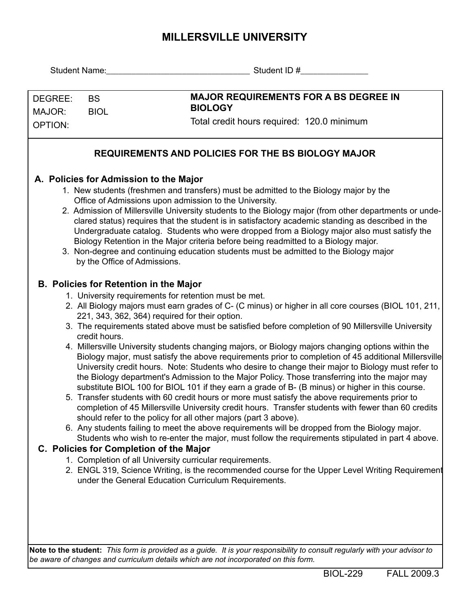## **MILLERSVILLE UNIVERSITY**

|                                     |                                                                                                           | Student ID #                                                                                                                                                                                                                                                                                                                                                                                                                                                                                                                                                                                                                                                                                                                                                                                                                                                                                                                                                                                                                                                                                                                                                                                                                                                                                                                                                                                                                                                                                                                                           |  |  |  |  |  |
|-------------------------------------|-----------------------------------------------------------------------------------------------------------|--------------------------------------------------------------------------------------------------------------------------------------------------------------------------------------------------------------------------------------------------------------------------------------------------------------------------------------------------------------------------------------------------------------------------------------------------------------------------------------------------------------------------------------------------------------------------------------------------------------------------------------------------------------------------------------------------------------------------------------------------------------------------------------------------------------------------------------------------------------------------------------------------------------------------------------------------------------------------------------------------------------------------------------------------------------------------------------------------------------------------------------------------------------------------------------------------------------------------------------------------------------------------------------------------------------------------------------------------------------------------------------------------------------------------------------------------------------------------------------------------------------------------------------------------------|--|--|--|--|--|
| DEGREE:<br>MAJOR:<br><b>OPTION:</b> | <b>BS</b><br><b>BIOL</b>                                                                                  | <b>MAJOR REQUIREMENTS FOR A BS DEGREE IN</b><br><b>BIOLOGY</b><br>Total credit hours required: 120.0 minimum                                                                                                                                                                                                                                                                                                                                                                                                                                                                                                                                                                                                                                                                                                                                                                                                                                                                                                                                                                                                                                                                                                                                                                                                                                                                                                                                                                                                                                           |  |  |  |  |  |
|                                     |                                                                                                           | <b>REQUIREMENTS AND POLICIES FOR THE BS BIOLOGY MAJOR</b>                                                                                                                                                                                                                                                                                                                                                                                                                                                                                                                                                                                                                                                                                                                                                                                                                                                                                                                                                                                                                                                                                                                                                                                                                                                                                                                                                                                                                                                                                              |  |  |  |  |  |
|                                     | A. Policies for Admission to the Major<br>by the Office of Admissions.                                    | 1. New students (freshmen and transfers) must be admitted to the Biology major by the<br>Office of Admissions upon admission to the University.<br>2. Admission of Millersville University students to the Biology major (from other departments or unde-<br>clared status) requires that the student is in satisfactory academic standing as described in the<br>Undergraduate catalog. Students who were dropped from a Biology major also must satisfy the<br>Biology Retention in the Major criteria before being readmitted to a Biology major.<br>3. Non-degree and continuing education students must be admitted to the Biology major                                                                                                                                                                                                                                                                                                                                                                                                                                                                                                                                                                                                                                                                                                                                                                                                                                                                                                          |  |  |  |  |  |
|                                     | <b>B. Policies for Retention in the Major</b><br>credit hours.<br>C. Policies for Completion of the Major | 1. University requirements for retention must be met.<br>2. All Biology majors must earn grades of C- (C minus) or higher in all core courses (BIOL 101, 211,<br>221, 343, 362, 364) required for their option.<br>3. The requirements stated above must be satisfied before completion of 90 Millersville University<br>4. Millersville University students changing majors, or Biology majors changing options within the<br>Biology major, must satisfy the above requirements prior to completion of 45 additional Millersville<br>University credit hours. Note: Students who desire to change their major to Biology must refer to<br>the Biology department's Admission to the Major Policy. Those transferring into the major may<br>substitute BIOL 100 for BIOL 101 if they earn a grade of B- (B minus) or higher in this course.<br>5. Transfer students with 60 credit hours or more must satisfy the above requirements prior to<br>completion of 45 Millersville University credit hours. Transfer students with fewer than 60 credits<br>should refer to the policy for all other majors (part 3 above).<br>6. Any students failing to meet the above requirements will be dropped from the Biology major.<br>Students who wish to re-enter the major, must follow the requirements stipulated in part 4 above.<br>1. Completion of all University curricular requirements.<br>2. ENGL 319, Science Writing, is the recommended course for the Upper Level Writing Requirement<br>under the General Education Curriculum Requirements. |  |  |  |  |  |

**Note to the student:** *This form is provided as a guide. It is your responsibility to consult regularly with your advisor to be aware of changes and curriculum details which are not incorporated on this form.*